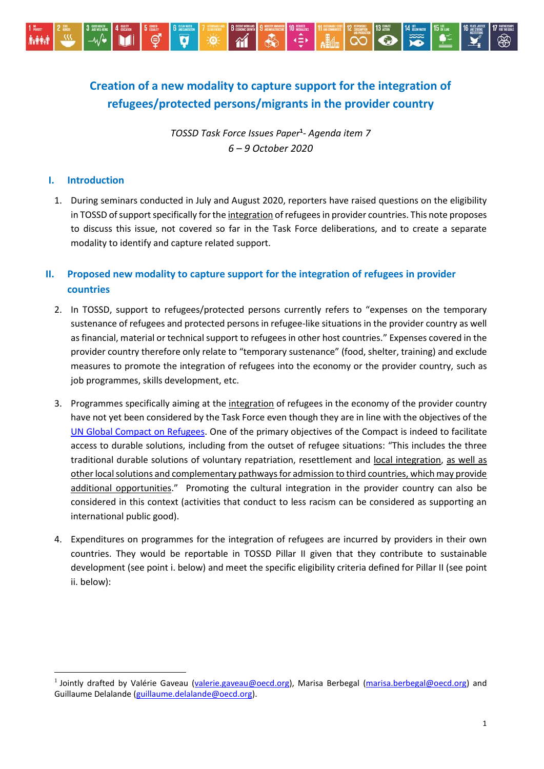

# **Creation of a new modality to capture support for the integration of refugees/protected persons/migrants in the provider country**

*TOSSD Task Force Issues Paper***<sup>1</sup>** *- Agenda item 7 6 – 9 October 2020* 

### **I. Introduction**

 $\overline{a}$ 

1. During seminars conducted in July and August 2020, reporters have raised questions on the eligibility in TOSSD of support specifically for the integration of refugees in provider countries. This note proposes to discuss this issue, not covered so far in the Task Force deliberations, and to create a separate modality to identify and capture related support.

# **II. Proposed new modality to capture support for the integration of refugees in provider countries**

- 2. In TOSSD, support to refugees/protected persons currently refers to "expenses on the temporary sustenance of refugees and protected persons in refugee-like situations in the provider country as well as financial, material or technical support to refugees in other host countries." Expenses covered in the provider country therefore only relate to "temporary sustenance" (food, shelter, training) and exclude measures to promote the integration of refugees into the economy or the provider country, such as job programmes, skills development, etc.
- 3. Programmes specifically aiming at the integration of refugees in the economy of the provider country have not yet been considered by the Task Force even though they are in line with the objectives of the UN [Global Compact on Refugees.](https://www.unhcr.org/gcr/GCR_English.pdf) One of the primary objectives of the Compact is indeed to facilitate access to durable solutions, including from the outset of refugee situations: "This includes the three traditional durable solutions of voluntary repatriation, resettlement and local integration, as well as other local solutions and complementary pathways for admission to third countries, which may provide additional opportunities." Promoting the cultural integration in the provider country can also be considered in this context (activities that conduct to less racism can be considered as supporting an international public good).
- 4. Expenditures on programmes for the integration of refugees are incurred by providers in their own countries. They would be reportable in TOSSD Pillar II given that they contribute to sustainable development (see point i. below) and meet the specific eligibility criteria defined for Pillar II (see point ii. below):

<sup>&</sup>lt;sup>1</sup> Jointly drafted by Valérie Gaveau [\(valerie.gaveau@oecd.org\)](mailto:valerie.gaveau@oecd.org), Marisa Berbegal [\(marisa.berbegal@oecd.org\)](mailto:marisa.berbegal@oecd.org) and Guillaume Delalande [\(guillaume.delalande@oecd.org\)](mailto:guillaume.delalande@oecd.org).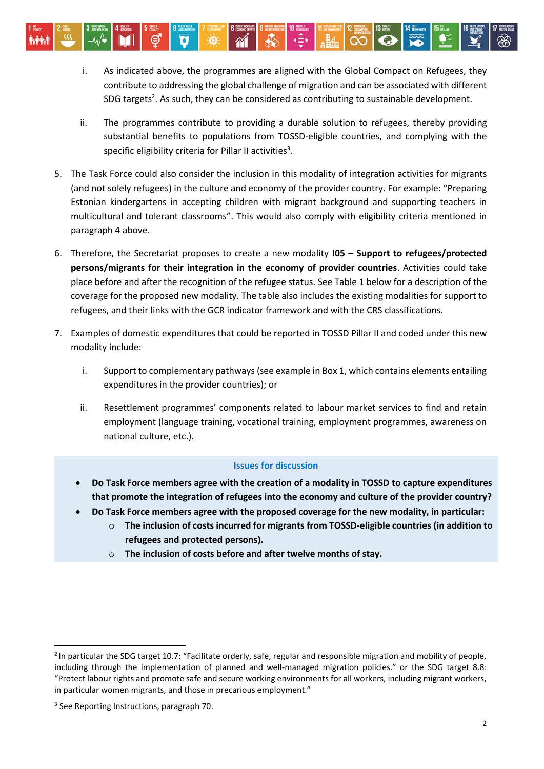- i. As indicated above, the programmes are aligned with the Global Compact on Refugees, they contribute to addressing the global challenge of migration and can be associated with different SDG targets<sup>2</sup>. As such, they can be considered as contributing to sustainable development.
- ii. The programmes contribute to providing a durable solution to refugees, thereby providing substantial benefits to populations from TOSSD-eligible countries, and complying with the specific eligibility criteria for Pillar II activities $^3$ .
- 5. The Task Force could also consider the inclusion in this modality of integration activities for migrants (and not solely refugees) in the culture and economy of the provider country. For example: "Preparing Estonian kindergartens in accepting children with migrant background and supporting teachers in multicultural and tolerant classrooms". This would also comply with eligibility criteria mentioned in paragraph 4 above.
- 6. Therefore, the Secretariat proposes to create a new modality **I05 – Support to refugees/protected persons/migrants for their integration in the economy of provider countries**. Activities could take place before and after the recognition of the refugee status. See Table 1 below for a description of the coverage for the proposed new modality. The table also includes the existing modalities for support to refugees, and their links with the GCR indicator framework and with the CRS classifications.
- 7. Examples of domestic expenditures that could be reported in TOSSD Pillar II and coded under this new modality include:
	- i. Support to complementary pathways (see example in Box 1, which contains elements entailing expenditures in the provider countries); or
	- ii. Resettlement programmes' components related to labour market services to find and retain employment (language training, vocational training, employment programmes, awareness on national culture, etc.).

### **Issues for discussion**

- **Do Task Force members agree with the creation of a modality in TOSSD to capture expenditures that promote the integration of refugees into the economy and culture of the provider country?**
- **Do Task Force members agree with the proposed coverage for the new modality, in particular:**
	- o **The inclusion of costs incurred for migrants from TOSSD-eligible countries (in addition to refugees and protected persons).**
	- o **The inclusion of costs before and after twelve months of stay.**

 $\overline{a}$ 

<sup>&</sup>lt;sup>2</sup> In particular the SDG target 10.7: "Facilitate orderly, safe, regular and responsible migration and mobility of people, including through the implementation of planned and well-managed migration policies." or the SDG target 8.8: "Protect labour rights and promote safe and secure working environments for all workers, including migrant workers, in particular women migrants, and those in precarious employment."

<sup>&</sup>lt;sup>3</sup> See Reporting Instructions, paragraph 70.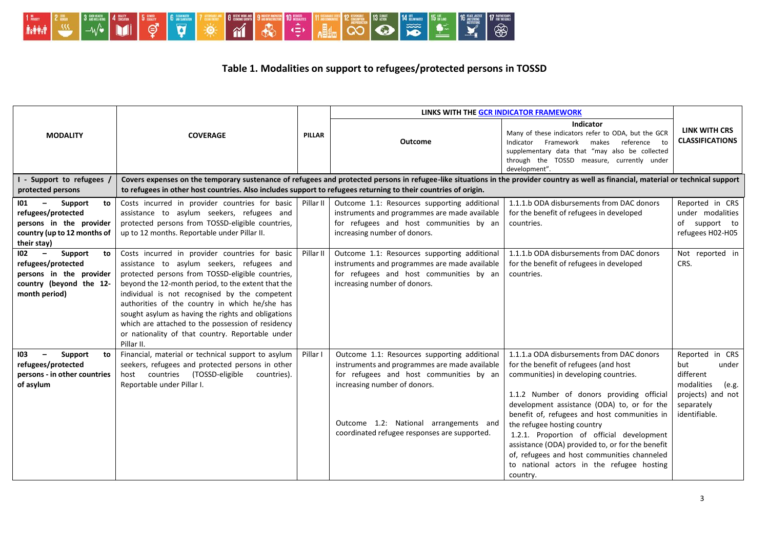

# **Table 1. Modalities on support to refugees/protected persons in TOSSD**

|                                                                                                                                               | <b>COVERAGE</b>                                                                                                                                                                                                                                                                                                                                                                                                                                                                        | <b>PILLAR</b> | LINKS WITH THE GCR INDICATOR FRAMEWORK                                                                                                                                                                                                                             |                                                                                                                                                                                                                                                                                                                                                                                                                                                                                                                 |                                                                                                                         |  |  |
|-----------------------------------------------------------------------------------------------------------------------------------------------|----------------------------------------------------------------------------------------------------------------------------------------------------------------------------------------------------------------------------------------------------------------------------------------------------------------------------------------------------------------------------------------------------------------------------------------------------------------------------------------|---------------|--------------------------------------------------------------------------------------------------------------------------------------------------------------------------------------------------------------------------------------------------------------------|-----------------------------------------------------------------------------------------------------------------------------------------------------------------------------------------------------------------------------------------------------------------------------------------------------------------------------------------------------------------------------------------------------------------------------------------------------------------------------------------------------------------|-------------------------------------------------------------------------------------------------------------------------|--|--|
| <b>MODALITY</b>                                                                                                                               |                                                                                                                                                                                                                                                                                                                                                                                                                                                                                        |               | <b>Outcome</b>                                                                                                                                                                                                                                                     | Indicator<br>Many of these indicators refer to ODA, but the GCR<br>Indicator<br>Framework<br>makes<br>reference to<br>supplementary data that "may also be collected<br>through the TOSSD measure, currently under<br>development".                                                                                                                                                                                                                                                                             | <b>LINK WITH CRS</b><br><b>CLASSIFICATIONS</b>                                                                          |  |  |
| - Support to refugees                                                                                                                         | Covers expenses on the temporary sustenance of refugees and protected persons in refugee-like situations in the provider country as well as financial, material or technical support                                                                                                                                                                                                                                                                                                   |               |                                                                                                                                                                                                                                                                    |                                                                                                                                                                                                                                                                                                                                                                                                                                                                                                                 |                                                                                                                         |  |  |
| protected persons                                                                                                                             | to refugees in other host countries. Also includes support to refugees returning to their countries of origin.                                                                                                                                                                                                                                                                                                                                                                         |               |                                                                                                                                                                                                                                                                    |                                                                                                                                                                                                                                                                                                                                                                                                                                                                                                                 |                                                                                                                         |  |  |
| Support<br>101<br>to<br>$-$<br>refugees/protected<br>persons in the provider<br>country (up to 12 months of<br>their stay)                    | Costs incurred in provider countries for basic<br>assistance to asylum seekers, refugees and<br>protected persons from TOSSD-eligible countries,<br>up to 12 months. Reportable under Pillar II.                                                                                                                                                                                                                                                                                       | Pillar II     | Outcome 1.1: Resources supporting additional<br>instruments and programmes are made available<br>for refugees and host communities by an<br>increasing number of donors.                                                                                           | 1.1.1.b ODA disbursements from DAC donors<br>for the benefit of refugees in developed<br>countries.                                                                                                                                                                                                                                                                                                                                                                                                             | Reported in CRS<br>under modalities<br>of support to<br>refugees H02-H05                                                |  |  |
| 102<br>$\overline{\phantom{a}}$<br>Support<br>to<br>refugees/protected<br>persons in the provider<br>country (beyond the 12-<br>month period) | Costs incurred in provider countries for basic<br>assistance to asylum seekers, refugees and<br>protected persons from TOSSD-eligible countries,<br>beyond the 12-month period, to the extent that the<br>individual is not recognised by the competent<br>authorities of the country in which he/she has<br>sought asylum as having the rights and obligations<br>which are attached to the possession of residency<br>or nationality of that country. Reportable under<br>Pillar II. | Pillar II     | Outcome 1.1: Resources supporting additional<br>instruments and programmes are made available<br>for refugees and host communities by an<br>increasing number of donors.                                                                                           | 1.1.1.b ODA disbursements from DAC donors<br>for the benefit of refugees in developed<br>countries.                                                                                                                                                                                                                                                                                                                                                                                                             | Not reported in<br>CRS.                                                                                                 |  |  |
| 103<br>Support<br>to<br>$-$<br>refugees/protected<br>persons - in other countries<br>of asylum                                                | Financial, material or technical support to asylum<br>seekers, refugees and protected persons in other<br>host countries (TOSSD-eligible<br>countries).<br>Reportable under Pillar I.                                                                                                                                                                                                                                                                                                  | Pillar I      | Outcome 1.1: Resources supporting additional<br>instruments and programmes are made available<br>for refugees and host communities by an<br>increasing number of donors.<br>Outcome 1.2: National arrangements and<br>coordinated refugee responses are supported. | 1.1.1.a ODA disbursements from DAC donors<br>for the benefit of refugees (and host<br>communities) in developing countries.<br>1.1.2 Number of donors providing official<br>development assistance (ODA) to, or for the<br>benefit of, refugees and host communities in<br>the refugee hosting country<br>1.2.1. Proportion of official development<br>assistance (ODA) provided to, or for the benefit<br>of, refugees and host communities channeled<br>to national actors in the refugee hosting<br>country. | Reported in CRS<br>but<br>under<br>different<br>modalities<br>(e.g.<br>projects) and not<br>separately<br>identifiable. |  |  |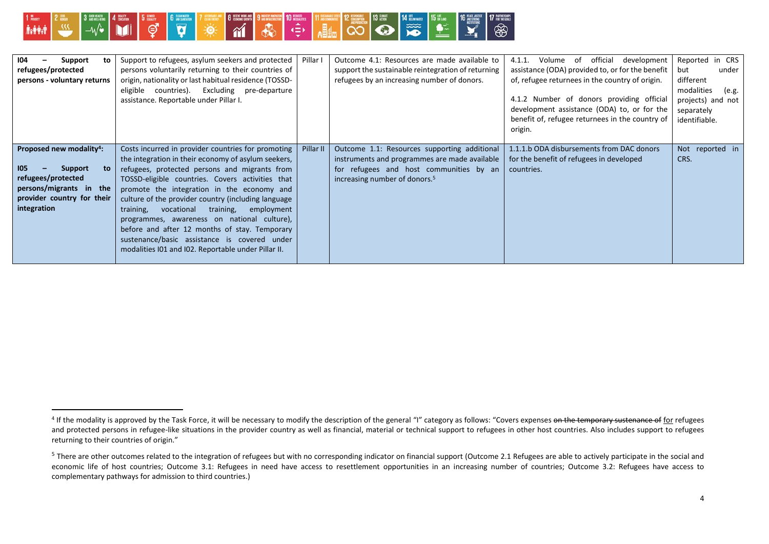

-

| 104<br>to<br>Support<br>refugees/protected<br>persons - voluntary returns                                                                                         | Support to refugees, asylum seekers and protected<br>persons voluntarily returning to their countries of<br>origin, nationality or last habitual residence (TOSSD-<br>eligible countries). Excluding pre-departure<br>assistance. Reportable under Pillar I.                                                                                                                                                                                                                                                                                                                  | Pillar I  | Outcome 4.1: Resources are made available to<br>support the sustainable reintegration of returning<br>refugees by an increasing number of donors.                                     | official<br>4.1.1.<br>Volume<br>of<br>development<br>assistance (ODA) provided to, or for the benefit<br>of, refugee returnees in the country of origin.<br>4.1.2 Number of donors providing official<br>development assistance (ODA) to, or for the<br>benefit of, refugee returnees in the country of<br>origin. | Reported<br>in CRS<br>but<br>under<br>different<br>modalities<br>(e.g.<br>projects) and not<br>separately<br>identifiable. |
|-------------------------------------------------------------------------------------------------------------------------------------------------------------------|-------------------------------------------------------------------------------------------------------------------------------------------------------------------------------------------------------------------------------------------------------------------------------------------------------------------------------------------------------------------------------------------------------------------------------------------------------------------------------------------------------------------------------------------------------------------------------|-----------|---------------------------------------------------------------------------------------------------------------------------------------------------------------------------------------|--------------------------------------------------------------------------------------------------------------------------------------------------------------------------------------------------------------------------------------------------------------------------------------------------------------------|----------------------------------------------------------------------------------------------------------------------------|
| Proposed new modality <sup>4</sup> :<br>105<br><b>Support</b><br>to<br>refugees/protected<br>persons/migrants in the<br>provider country for their<br>integration | Costs incurred in provider countries for promoting<br>the integration in their economy of asylum seekers,<br>refugees, protected persons and migrants from<br>TOSSD-eligible countries. Covers activities that<br>promote the integration in the economy and<br>culture of the provider country (including language<br>training, vocational<br>training,<br>employment<br>programmes, awareness on national culture),<br>before and after 12 months of stay. Temporary<br>sustenance/basic assistance is covered under<br>modalities 101 and 102. Reportable under Pillar II. | Pillar II | Outcome 1.1: Resources supporting additional<br>instruments and programmes are made available<br>for refugees and host communities by an<br>increasing number of donors. <sup>5</sup> | 1.1.1.b ODA disbursements from DAC donors<br>for the benefit of refugees in developed<br>countries.                                                                                                                                                                                                                | Not reported in<br>CRS.                                                                                                    |

<sup>&</sup>lt;sup>4</sup> If the modality is approved by the Task Force, it will be necessary to modify the description of the general "I" category as follows: "Covers expenses <del>on the temporary sustenance of</del> for refugees and protected persons in refugee-like situations in the provider country as well as financial, material or technical support to refugees in other host countries. Also includes support to refugees returning to their countries of origin."

 $5$  There are other outcomes related to the integration of refugees but with no corresponding indicator on financial support (Outcome 2.1 Refugees are able to actively participate in the social and economic life of host countries; Outcome 3.1: Refugees in need have access to resettlement opportunities in an increasing number of countries; Outcome 3.2: Refugees have access to complementary pathways for admission to third countries.)